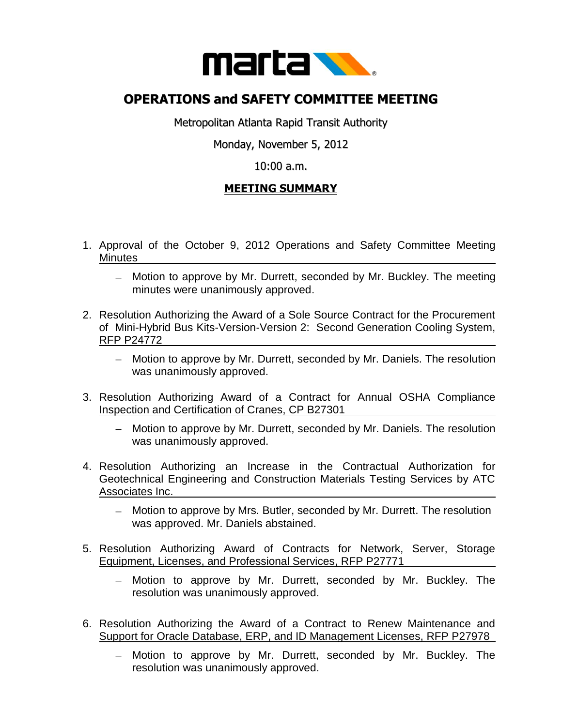

## **OPERATIONS and SAFETY COMMITTEE MEETING**

Metropolitan Atlanta Rapid Transit Authority

Monday, November 5, 2012

## 10:00 a.m.

## **MEETING SUMMARY**

- 1. Approval of the October 9, 2012 Operations and Safety Committee Meeting Minutes
	- Motion to approve by Mr. Durrett, seconded by Mr. Buckley. The meeting minutes were unanimously approved.
- 2. Resolution Authorizing the Award of a Sole Source Contract for the Procurement of Mini-Hybrid Bus Kits-Version-Version 2: Second Generation Cooling System, RFP P24772
	- Motion to approve by Mr. Durrett, seconded by Mr. Daniels. The resolution was unanimously approved.
- 3. Resolution Authorizing Award of a Contract for Annual OSHA Compliance Inspection and Certification of Cranes, CP B27301
	- Motion to approve by Mr. Durrett, seconded by Mr. Daniels. The resolution was unanimously approved.
- 4. Resolution Authorizing an Increase in the Contractual Authorization for Geotechnical Engineering and Construction Materials Testing Services by ATC Associates Inc.
	- Motion to approve by Mrs. Butler, seconded by Mr. Durrett. The resolution was approved. Mr. Daniels abstained.
- 5. Resolution Authorizing Award of Contracts for Network, Server, Storage Equipment, Licenses, and Professional Services, RFP P27771
	- Motion to approve by Mr. Durrett, seconded by Mr. Buckley. The resolution was unanimously approved.
- 6. Resolution Authorizing the Award of a Contract to Renew Maintenance and Support for Oracle Database, ERP, and ID Management Licenses, RFP P27978
	- Motion to approve by Mr. Durrett, seconded by Mr. Buckley. The  $\,$ resolution was unanimously approved.